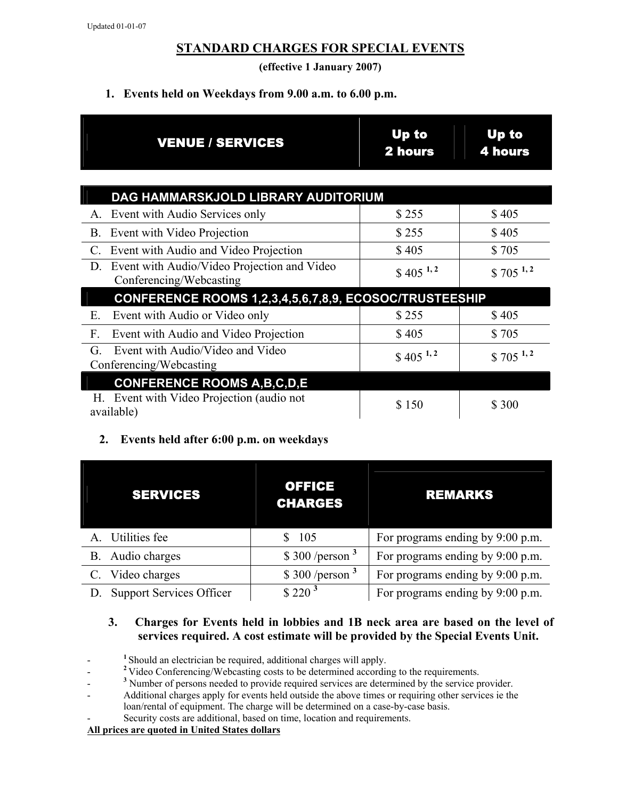## **STANDARD CHARGES FOR SPECIAL EVENTS**

**(effective 1 January 2007)** 

### **1. Events held on Weekdays from 9.00 a.m. to 6.00 p.m.**

| <b>VENUE / SERVICES</b>                                                      | Up to<br><b>2 hours</b> | Up to<br><b>4 hours</b> |  |  |
|------------------------------------------------------------------------------|-------------------------|-------------------------|--|--|
| DAG HAMMARSKJOLD LIBRARY AUDITORIUM                                          |                         |                         |  |  |
| Event with Audio Services only<br>$A_{.}$                                    | \$255                   | \$405                   |  |  |
| <b>B.</b><br>Event with Video Projection                                     | \$255                   | \$405                   |  |  |
| Event with Audio and Video Projection<br>$\mathcal{C}$ .                     | \$405                   | \$705                   |  |  |
| Event with Audio/Video Projection and Video<br>D.<br>Conferencing/Webcasting | $$405^{1,2}$            | $$705$ <sup>1,2</sup>   |  |  |
| CONFERENCE ROOMS 1,2,3,4,5,6,7,8,9, ECOSOC/TRUSTEESHIP                       |                         |                         |  |  |
| Event with Audio or Video only<br>Ε.                                         | \$255                   | \$405                   |  |  |
| F.<br>Event with Audio and Video Projection                                  | \$405                   | \$705                   |  |  |
| Event with Audio/Video and Video<br>G.<br>Conferencing/Webcasting            | $$405^{1,2}$            | $$705$ <sup>1,2</sup>   |  |  |
| <b>CONFERENCE ROOMS A, B, C, D, E</b>                                        |                         |                         |  |  |
| Event with Video Projection (audio not<br>Н.<br>available)                   | \$150                   | \$ 300                  |  |  |

#### **2. Events held after 6:00 p.m. on weekdays**

| <b>SERVICES</b>                 | <b>OFFICE</b><br><b>CHARGES</b> | <b>REMARKS</b>                   |
|---------------------------------|---------------------------------|----------------------------------|
| A. Utilities fee                | 105                             | For programs ending by 9:00 p.m. |
| B. Audio charges                | \$300/person <sup>3</sup>       | For programs ending by 9:00 p.m. |
| C. Video charges                | \$300/person <sup>3</sup>       | For programs ending by 9:00 p.m. |
| <b>Support Services Officer</b> | $$220^3$                        | For programs ending by 9:00 p.m. |

#### **3. Charges for Events held in lobbies and 1B neck area are based on the level of services required. A cost estimate will be provided by the Special Events Unit.**

<sup>1</sup> Should an electrician be required, additional charges will apply.

<sup>2</sup> Video Conferencing/Webcasting costs to be determined according to the requirements.

<sup>3</sup> Number of persons needed to provide required services are determined by the service provider.

- Additional charges apply for events held outside the above times or requiring other services ie the loan/rental of equipment. The charge will be determined on a case-by-case basis.
- Security costs are additional, based on time, location and requirements.

#### **All prices are quoted in United States dollars**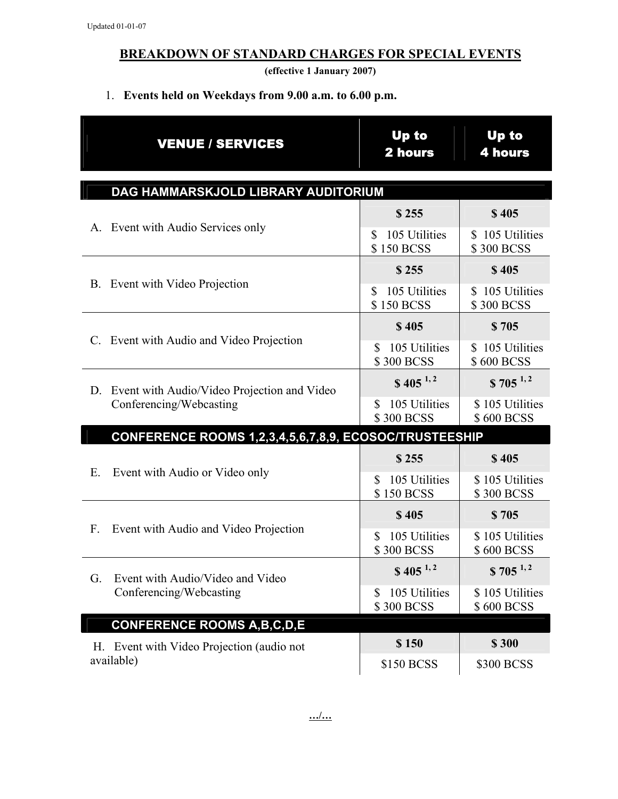# **BREAKDOWN OF STANDARD CHARGES FOR SPECIAL EVENTS**

**(effective 1 January 2007)** 

# 1. **Events held on Weekdays from 9.00 a.m. to 6.00 p.m.**

| <b>VENUE / SERVICES</b>                                           | <b>Up to</b><br>2 hours                  | <b>Up to</b><br><b>4 hours</b>       |  |  |  |
|-------------------------------------------------------------------|------------------------------------------|--------------------------------------|--|--|--|
| DAG HAMMARSKJOLD LIBRARY AUDITORIUM                               |                                          |                                      |  |  |  |
| A. Event with Audio Services only                                 | \$255                                    | \$405                                |  |  |  |
|                                                                   | 105 Utilities<br>\$<br><b>\$150 BCSS</b> | \$105 Utilities<br>\$300 BCSS        |  |  |  |
| B. Event with Video Projection                                    | \$255                                    | \$405                                |  |  |  |
|                                                                   | 105 Utilities<br>S<br>\$150 BCSS         | \$105 Utilities<br>\$300 BCSS        |  |  |  |
| C. Event with Audio and Video Projection                          | \$405                                    | \$705                                |  |  |  |
|                                                                   | 105 Utilities<br>\$<br>\$300 BCSS        | 105 Utilities<br>S.<br>\$600 BCSS    |  |  |  |
| Event with Audio/Video Projection and Video<br>D.                 | $$405^{1,2}$                             | $$705^{1,2}$                         |  |  |  |
| Conferencing/Webcasting                                           | 105 Utilities<br>\$<br>\$300 BCSS        | \$105 Utilities<br><b>\$600 BCSS</b> |  |  |  |
| <b>CONFERENCE ROOMS 1,2,3,4,5,6,7,8,9, ECOSOC/TRUSTEESHIP</b>     |                                          |                                      |  |  |  |
|                                                                   | \$255                                    | \$405                                |  |  |  |
| Ε.<br>Event with Audio or Video only                              | 105 Utilities<br>\$<br>\$150 BCSS        | \$105 Utilities<br>\$300 BCSS        |  |  |  |
| Event with Audio and Video Projection<br>$F_{\cdot}$              | \$405                                    | \$705                                |  |  |  |
|                                                                   | 105 Utilities<br>\$<br>\$300 BCSS        | \$105 Utilities<br><b>\$600 BCSS</b> |  |  |  |
| Event with Audio/Video and Video<br>G.<br>Conferencing/Webcasting | $$405^{1,2}$                             | $$705^{1,2}$                         |  |  |  |
|                                                                   | 105 Utilities<br>\$<br><b>\$300 BCSS</b> | \$105 Utilities<br><b>\$600 BCSS</b> |  |  |  |
| <b>CONFERENCE ROOMS A, B, C, D, E</b>                             |                                          |                                      |  |  |  |
| H. Event with Video Projection (audio not                         | \$150                                    | \$300                                |  |  |  |
| available)                                                        | \$150 BCSS                               | \$300 BCSS                           |  |  |  |

**…/…**